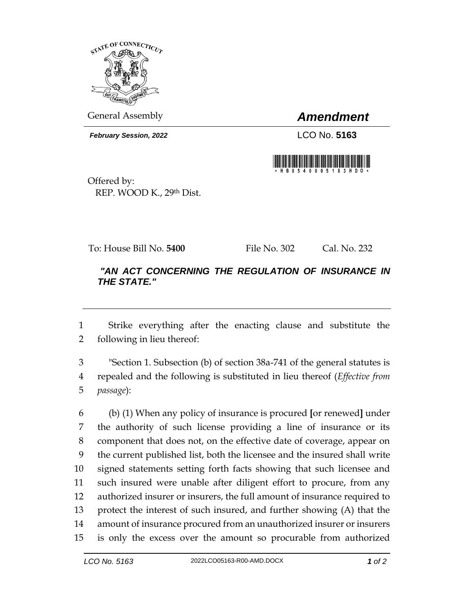

General Assembly *Amendment*

*February Session, 2022* LCO No. **5163**



Offered by: REP. WOOD K., 29th Dist.

To: House Bill No. **5400** File No. 302 Cal. No. 232

## *"AN ACT CONCERNING THE REGULATION OF INSURANCE IN THE STATE."*

 Strike everything after the enacting clause and substitute the following in lieu thereof:

 "Section 1. Subsection (b) of section 38a-741 of the general statutes is repealed and the following is substituted in lieu thereof (*Effective from passage*):

 (b) (1) When any policy of insurance is procured **[**or renewed**]** under the authority of such license providing a line of insurance or its component that does not, on the effective date of coverage, appear on the current published list, both the licensee and the insured shall write signed statements setting forth facts showing that such licensee and such insured were unable after diligent effort to procure, from any authorized insurer or insurers, the full amount of insurance required to protect the interest of such insured, and further showing (A) that the amount of insurance procured from an unauthorized insurer or insurers is only the excess over the amount so procurable from authorized